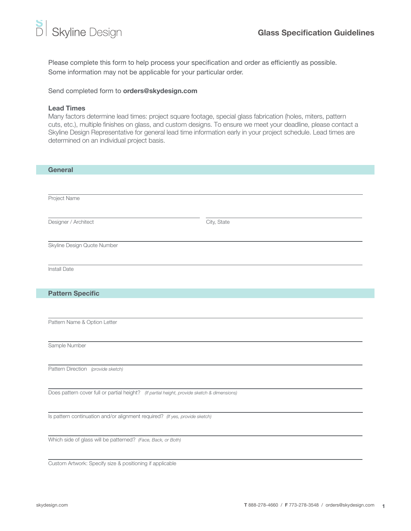Please complete this form to help process your specification and order as efficiently as possible. Some information may not be applicable for your particular order.

Send completed form to orders@skydesign.com

## Lead Times

Many factors determine lead times: project square footage, special glass fabrication (holes, miters, pattern cuts, etc.), multiple finishes on glass, and custom designs. To ensure we meet your deadline, please contact a Skyline Design Representative for general lead time information early in your project schedule. Lead times are determined on an individual project basis.

| <b>General</b>                                                                              |             |
|---------------------------------------------------------------------------------------------|-------------|
|                                                                                             |             |
| Project Name                                                                                |             |
|                                                                                             |             |
| Designer / Architect                                                                        | City, State |
|                                                                                             |             |
| Skyline Design Quote Number                                                                 |             |
|                                                                                             |             |
| Install Date                                                                                |             |
|                                                                                             |             |
| <b>Pattern Specific</b>                                                                     |             |
|                                                                                             |             |
| Pattern Name & Option Letter                                                                |             |
|                                                                                             |             |
| Sample Number                                                                               |             |
|                                                                                             |             |
| Pattern Direction (provide sketch)                                                          |             |
|                                                                                             |             |
| Does pattern cover full or partial height? (If partial height, provide sketch & dimensions) |             |
|                                                                                             |             |
| Is pattern continuation and/or alignment required? (If yes, provide sketch)                 |             |
|                                                                                             |             |
| Which side of glass will be patterned? (Face, Back, or Both)                                |             |
| Custom Artwork: Specify size & positioning if applicable                                    |             |